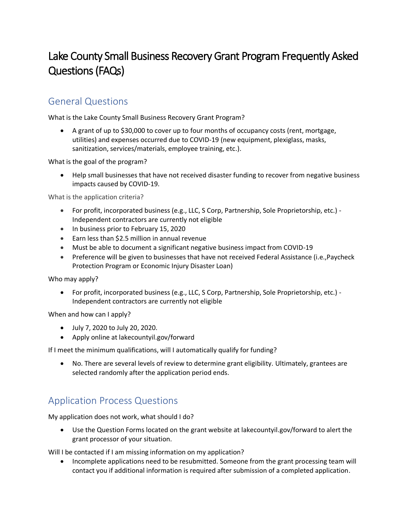# Lake County Small Business Recovery Grant Program Frequently Asked Questions (FAQs)

## General Questions

What is the Lake County Small Business Recovery Grant Program?

• A grant of up to \$30,000 to cover up to four months of occupancy costs (rent, mortgage, utilities) and expenses occurred due to COVID-19 (new equipment, plexiglass, masks, sanitization, services/materials, employee training, etc.).

What is the goal of the program?

• Help small businesses that have not received disaster funding to recover from negative business impacts caused by COVID-19.

What is the application criteria?

- For profit, incorporated business (e.g., LLC, S Corp, Partnership, Sole Proprietorship, etc.) Independent contractors are currently not eligible
- In business prior to February 15, 2020
- Earn less than \$2.5 million in annual revenue
- Must be able to document a significant negative business impact from COVID-19
- Preference will be given to businesses that have not received Federal Assistance (i.e., Paycheck Protection Program or Economic Injury Disaster Loan)

Who may apply?

• For profit, incorporated business (e.g., LLC, S Corp, Partnership, Sole Proprietorship, etc.) - Independent contractors are currently not eligible

When and how can I apply?

- July 7, 2020 to July 20, 2020.
- Apply online at lakecountyil.gov/forward

If I meet the minimum qualifications, will I automatically qualify for funding?

• No. There are several levels of review to determine grant eligibility. Ultimately, grantees are selected randomly after the application period ends.

# Application Process Questions

My application does not work, what should I do?

• Use the Question Forms located on the grant website at lakecountyil.gov/forward to alert the grant processor of your situation.

Will I be contacted if I am missing information on my application?

• Incomplete applications need to be resubmitted. Someone from the grant processing team will contact you if additional information is required after submission of a completed application.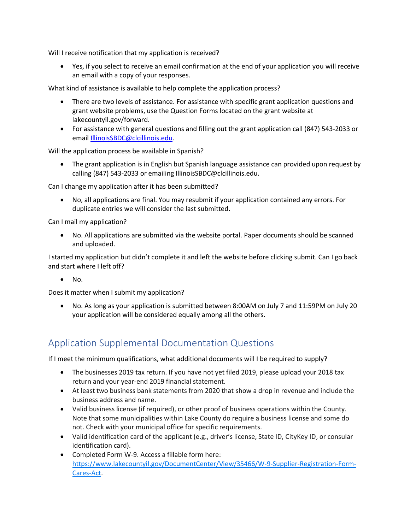Will I receive notification that my application is received?

• Yes, if you select to receive an email confirmation at the end of your application you will receive an email with a copy of your responses.

What kind of assistance is available to help complete the application process?

- There are two levels of assistance. For assistance with specific grant application questions and grant website problems, use the Question Forms located on the grant website at lakecountyil.gov/forward.
- For assistance with general questions and filling out the grant application call (847) 543-2033 or email [IllinoisSBDC@clcillinois.edu.](mailto:IllinoisSBDC@clcillinois.edu)

Will the application process be available in Spanish?

• The grant application is in English but Spanish language assistance can provided upon request by calling (847) 543-2033 or emailing IllinoisSBDC@clcillinois.edu.

Can I change my application after it has been submitted?

• No, all applications are final. You may resubmit if your application contained any errors. For duplicate entries we will consider the last submitted.

Can I mail my application?

• No. All applications are submitted via the website portal. Paper documents should be scanned and uploaded.

I started my application but didn't complete it and left the website before clicking submit. Can I go back and start where I left off?

 $\bullet$  No.

Does it matter when I submit my application?

• No. As long as your application is submitted between 8:00AM on July 7 and 11:59PM on July 20 your application will be considered equally among all the others.

## Application Supplemental Documentation Questions

If I meet the minimum qualifications, what additional documents will I be required to supply?

- The businesses 2019 tax return. If you have not yet filed 2019, please upload your 2018 tax return and your year-end 2019 financial statement.
- At least two business bank statements from 2020 that show a drop in revenue and include the business address and name.
- Valid business license (if required), or other proof of business operations within the County. Note that some municipalities within Lake County do require a business license and some do not. Check with your municipal office for specific requirements.
- Valid identification card of the applicant (e.g., driver's license, State ID, CityKey ID, or consular identification card).
- Completed Form W-9. Access a fillable form here: [https://www.lakecountyil.gov/DocumentCenter/View/35466/W-9-Supplier-Registration-Form-](https://www.lakecountyil.gov/DocumentCenter/View/35466/W-9-Supplier-Registration-Form-Cares-Act)[Cares-Act.](https://www.lakecountyil.gov/DocumentCenter/View/35466/W-9-Supplier-Registration-Form-Cares-Act)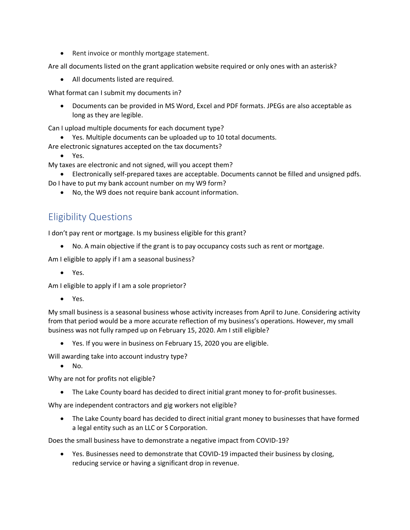• Rent invoice or monthly mortgage statement.

Are all documents listed on the grant application website required or only ones with an asterisk?

• All documents listed are required.

What format can I submit my documents in?

• Documents can be provided in MS Word, Excel and PDF formats. JPEGs are also acceptable as long as they are legible.

Can I upload multiple documents for each document type?

• Yes. Multiple documents can be uploaded up to 10 total documents.

Are electronic signatures accepted on the tax documents?

• Yes.

My taxes are electronic and not signed, will you accept them?

- Electronically self-prepared taxes are acceptable. Documents cannot be filled and unsigned pdfs.
- Do I have to put my bank account number on my W9 form?
	- No, the W9 does not require bank account information.

#### Eligibility Questions

I don't pay rent or mortgage. Is my business eligible for this grant?

• No. A main objective if the grant is to pay occupancy costs such as rent or mortgage.

Am I eligible to apply if I am a seasonal business?

• Yes.

Am I eligible to apply if I am a sole proprietor?

• Yes.

My small business is a seasonal business whose activity increases from April to June. Considering activity from that period would be a more accurate reflection of my business's operations. However, my small business was not fully ramped up on February 15, 2020. Am I still eligible?

• Yes. If you were in business on February 15, 2020 you are eligible.

Will awarding take into account industry type?

• No.

Why are not for profits not eligible?

• The Lake County board has decided to direct initial grant money to for-profit businesses.

Why are independent contractors and gig workers not eligible?

• The Lake County board has decided to direct initial grant money to businesses that have formed a legal entity such as an LLC or S Corporation.

Does the small business have to demonstrate a negative impact from COVID-19?

• Yes. Businesses need to demonstrate that COVID-19 impacted their business by closing, reducing service or having a significant drop in revenue.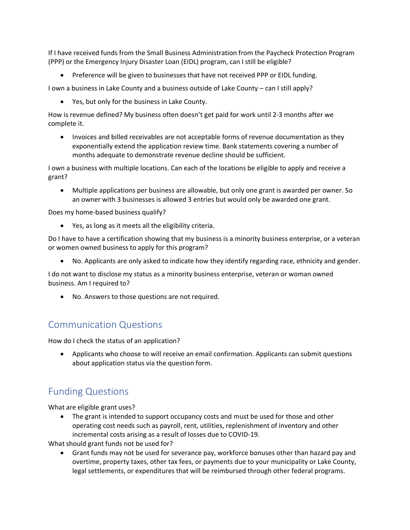If I have received funds from the Small Business Administration from the Paycheck Protection Program (PPP) or the Emergency Injury Disaster Loan (EIDL) program, can I still be eligible?

• Preference will be given to businesses that have not received PPP or EIDL funding.

I own a business in Lake County and a business outside of Lake County – can I still apply?

• Yes, but only for the business in Lake County.

How is revenue defined? My business often doesn't get paid for work until 2-3 months after we complete it.

• Invoices and billed receivables are not acceptable forms of revenue documentation as they exponentially extend the application review time. Bank statements covering a number of months adequate to demonstrate revenue decline should be sufficient.

I own a business with multiple locations. Can each of the locations be eligible to apply and receive a grant?

• Multiple applications per business are allowable, but only one grant is awarded per owner. So an owner with 3 businesses is allowed 3 entries but would only be awarded one grant.

Does my home-based business qualify?

• Yes, as long as it meets all the eligibility criteria.

Do I have to have a certification showing that my business is a minority business enterprise, or a veteran or women owned business to apply for this program?

• No. Applicants are only asked to indicate how they identify regarding race, ethnicity and gender.

I do not want to disclose my status as a minority business enterprise, veteran or woman owned business. Am I required to?

• No. Answers to those questions are not required.

# Communication Questions

How do I check the status of an application?

• Applicants who choose to will receive an email confirmation. Applicants can submit questions about application status via the question form.

# Funding Questions

What are eligible grant uses?

The grant is intended to support occupancy costs and must be used for those and other operating cost needs such as payroll, rent, utilities, replenishment of inventory and other incremental costs arising as a result of losses due to COVID-19.

What should grant funds not be used for?

• Grant funds may not be used for severance pay, workforce bonuses other than hazard pay and overtime, property taxes, other tax fees, or payments due to your municipality or Lake County, legal settlements, or expenditures that will be reimbursed through other federal programs.